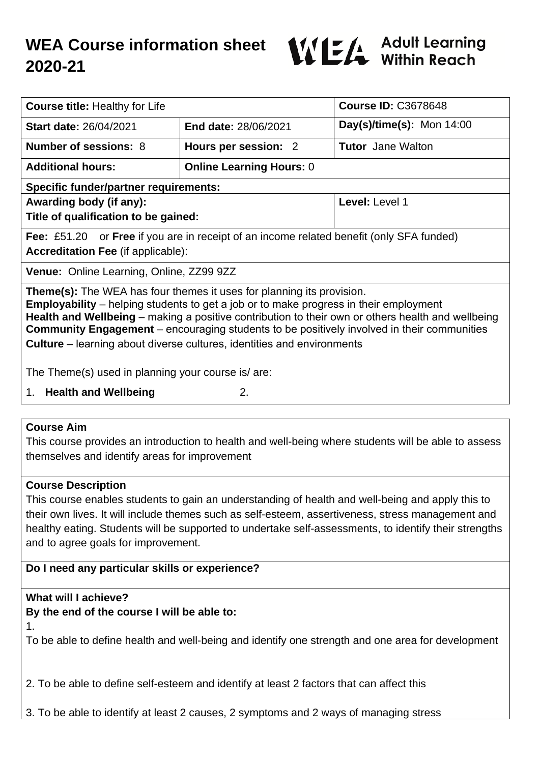# **WEA Course information sheet 2020-21**



| <b>Course title: Healthy for Life</b>                                                                                                                                                                                                                                                                                                                                                                                                                                   |                                 | <b>Course ID: C3678648</b> |
|-------------------------------------------------------------------------------------------------------------------------------------------------------------------------------------------------------------------------------------------------------------------------------------------------------------------------------------------------------------------------------------------------------------------------------------------------------------------------|---------------------------------|----------------------------|
| <b>Start date: 26/04/2021</b>                                                                                                                                                                                                                                                                                                                                                                                                                                           | <b>End date: 28/06/2021</b>     | Day(s)/time(s): Mon 14:00  |
| <b>Number of sessions: 8</b>                                                                                                                                                                                                                                                                                                                                                                                                                                            | Hours per session: 2            | <b>Tutor</b> Jane Walton   |
| <b>Additional hours:</b>                                                                                                                                                                                                                                                                                                                                                                                                                                                | <b>Online Learning Hours: 0</b> |                            |
| <b>Specific funder/partner requirements:</b>                                                                                                                                                                                                                                                                                                                                                                                                                            |                                 |                            |
| Awarding body (if any):                                                                                                                                                                                                                                                                                                                                                                                                                                                 |                                 | Level: Level 1             |
| Title of qualification to be gained:                                                                                                                                                                                                                                                                                                                                                                                                                                    |                                 |                            |
| Fee: £51.20 or Free if you are in receipt of an income related benefit (only SFA funded)                                                                                                                                                                                                                                                                                                                                                                                |                                 |                            |
| <b>Accreditation Fee (if applicable):</b>                                                                                                                                                                                                                                                                                                                                                                                                                               |                                 |                            |
| Venue: Online Learning, Online, ZZ99 9ZZ                                                                                                                                                                                                                                                                                                                                                                                                                                |                                 |                            |
| <b>Theme(s):</b> The WEA has four themes it uses for planning its provision.<br><b>Employability</b> – helping students to get a job or to make progress in their employment<br>Health and Wellbeing – making a positive contribution to their own or others health and wellbeing<br><b>Community Engagement</b> – encouraging students to be positively involved in their communities<br><b>Culture</b> – learning about diverse cultures, identities and environments |                                 |                            |
| The Theme(s) used in planning your course is/ are:                                                                                                                                                                                                                                                                                                                                                                                                                      |                                 |                            |
| <b>Health and Wellbeing</b><br>2.<br>1.                                                                                                                                                                                                                                                                                                                                                                                                                                 |                                 |                            |

#### **Course Aim**

This course provides an introduction to health and well-being where students will be able to assess themselves and identify areas for improvement

#### **Course Description**

This course enables students to gain an understanding of health and well-being and apply this to their own lives. It will include themes such as self-esteem, assertiveness, stress management and healthy eating. Students will be supported to undertake self-assessments, to identify their strengths and to agree goals for improvement.

## **Do I need any particular skills or experience?**

## **What will I achieve?**

**By the end of the course I will be able to:**

1.

To be able to define health and well-being and identify one strength and one area for development

2. To be able to define self-esteem and identify at least 2 factors that can affect this

3. To be able to identify at least 2 causes, 2 symptoms and 2 ways of managing stress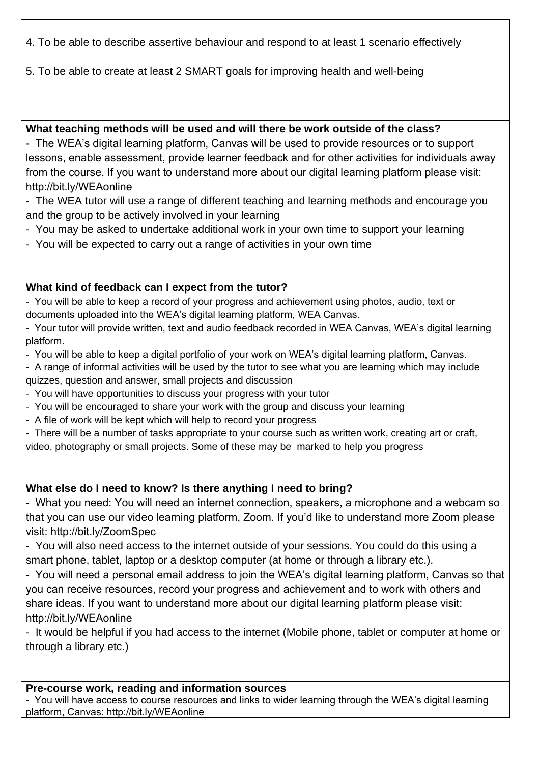4. To be able to describe assertive behaviour and respond to at least 1 scenario effectively

5. To be able to create at least 2 SMART goals for improving health and well-being

## **What teaching methods will be used and will there be work outside of the class?**

- The WEA's digital learning platform, Canvas will be used to provide resources or to support lessons, enable assessment, provide learner feedback and for other activities for individuals away from the course. If you want to understand more about our digital learning platform please visit: http://bit.ly/WEAonline

- The WEA tutor will use a range of different teaching and learning methods and encourage you and the group to be actively involved in your learning

- You may be asked to undertake additional work in your own time to support your learning
- You will be expected to carry out a range of activities in your own time

# **What kind of feedback can I expect from the tutor?**

- You will be able to keep a record of your progress and achievement using photos, audio, text or documents uploaded into the WEA's digital learning platform, WEA Canvas.

- Your tutor will provide written, text and audio feedback recorded in WEA Canvas, WEA's digital learning platform.

- You will be able to keep a digital portfolio of your work on WEA's digital learning platform, Canvas.
- A range of informal activities will be used by the tutor to see what you are learning which may include quizzes, question and answer, small projects and discussion
- You will have opportunities to discuss your progress with your tutor
- You will be encouraged to share your work with the group and discuss your learning
- A file of work will be kept which will help to record your progress
- There will be a number of tasks appropriate to your course such as written work, creating art or craft,

video, photography or small projects. Some of these may be marked to help you progress

# **What else do I need to know? Is there anything I need to bring?**

- What you need: You will need an internet connection, speakers, a microphone and a webcam so that you can use our video learning platform, Zoom. If you'd like to understand more Zoom please visit: http://bit.ly/ZoomSpec

- You will also need access to the internet outside of your sessions. You could do this using a smart phone, tablet, laptop or a desktop computer (at home or through a library etc.).

- You will need a personal email address to join the WEA's digital learning platform, Canvas so that you can receive resources, record your progress and achievement and to work with others and share ideas. If you want to understand more about our digital learning platform please visit: http://bit.ly/WEAonline

- It would be helpful if you had access to the internet (Mobile phone, tablet or computer at home or through a library etc.)

## **Pre-course work, reading and information sources**

- You will have access to course resources and links to wider learning through the WEA's digital learning platform, Canvas: http://bit.ly/WEAonline